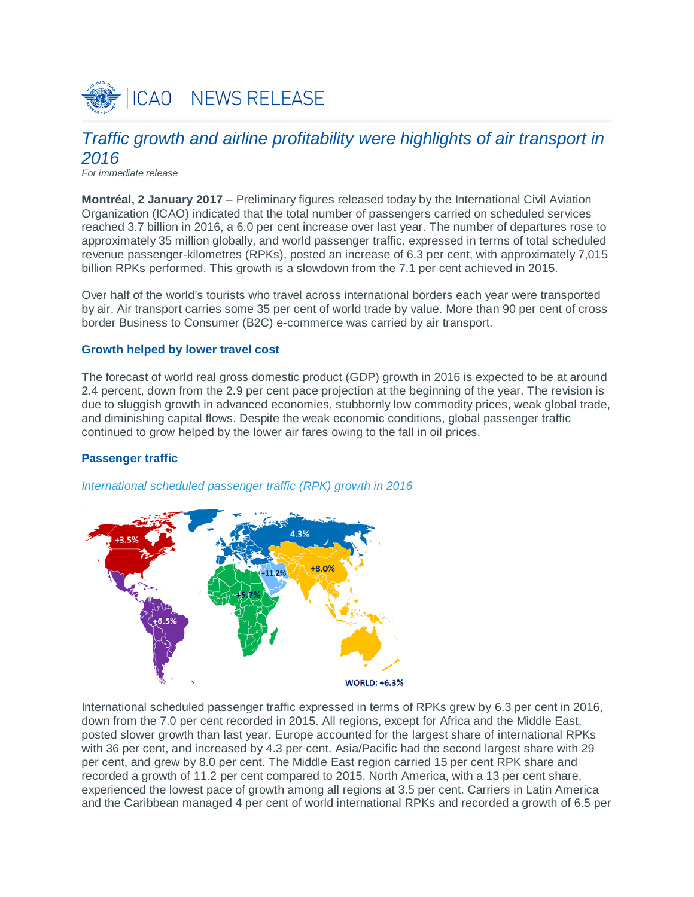

# *Traffic growth and airline profitability were highlights of air transport in 2016*

*For immediate release*

**Montréal, 2 January 2017** – Preliminary figures released today by the International Civil Aviation Organization (ICAO) indicated that the total number of passengers carried on scheduled services reached 3.7 billion in 2016, a 6.0 per cent increase over last year. The number of departures rose to approximately 35 million globally, and world passenger traffic, expressed in terms of total scheduled revenue passenger-kilometres (RPKs), posted an increase of 6.3 per cent, with approximately 7,015 billion RPKs performed. This growth is a slowdown from the 7.1 per cent achieved in 2015.

Over half of the world's tourists who travel across international borders each year were transported by air. Air transport carries some 35 per cent of world trade by value. More than 90 per cent of cross border Business to Consumer (B2C) e-commerce was carried by air transport.

## **Growth helped by lower travel cost**

The forecast of world real gross domestic product (GDP) growth in 2016 is expected to be at around 2.4 percent, down from the 2.9 per cent pace projection at the beginning of the year. The revision is due to sluggish growth in advanced economies, stubbornly low commodity prices, weak global trade, and diminishing capital flows. Despite the weak economic conditions, global passenger traffic continued to grow helped by the lower air fares owing to the fall in oil prices.

## **Passenger traffic**





International scheduled passenger traffic expressed in terms of RPKs grew by 6.3 per cent in 2016, down from the 7.0 per cent recorded in 2015. All regions, except for Africa and the Middle East, posted slower growth than last year. Europe accounted for the largest share of international RPKs with 36 per cent, and increased by 4.3 per cent. Asia/Pacific had the second largest share with 29 per cent, and grew by 8.0 per cent. The Middle East region carried 15 per cent RPK share and recorded a growth of 11.2 per cent compared to 2015. North America, with a 13 per cent share, experienced the lowest pace of growth among all regions at 3.5 per cent. Carriers in Latin America and the Caribbean managed 4 per cent of world international RPKs and recorded a growth of 6.5 per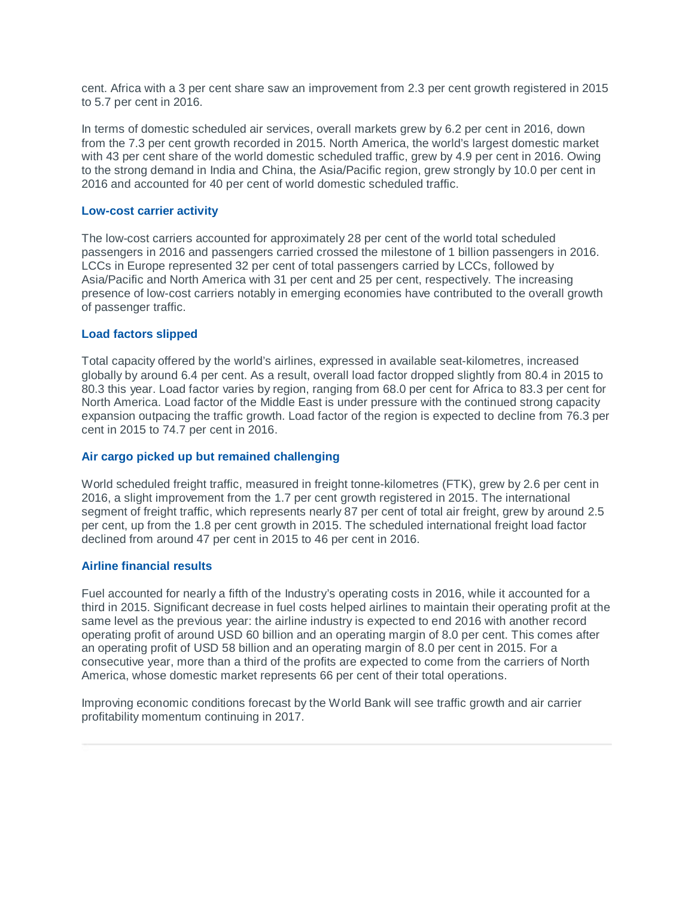cent. Africa with a 3 per cent share saw an improvement from 2.3 per cent growth registered in 2015 to 5.7 per cent in 2016.

In terms of domestic scheduled air services, overall markets grew by 6.2 per cent in 2016, down from the 7.3 per cent growth recorded in 2015. North America, the world's largest domestic market with 43 per cent share of the world domestic scheduled traffic, grew by 4.9 per cent in 2016. Owing to the strong demand in India and China, the Asia/Pacific region, grew strongly by 10.0 per cent in 2016 and accounted for 40 per cent of world domestic scheduled traffic.

## **Low-cost carrier activity**

The low-cost carriers accounted for approximately 28 per cent of the world total scheduled passengers in 2016 and passengers carried crossed the milestone of 1 billion passengers in 2016. LCCs in Europe represented 32 per cent of total passengers carried by LCCs, followed by Asia/Pacific and North America with 31 per cent and 25 per cent, respectively. The increasing presence of low-cost carriers notably in emerging economies have contributed to the overall growth of passenger traffic.

## **Load factors slipped**

Total capacity offered by the world's airlines, expressed in available seat-kilometres, increased globally by around 6.4 per cent. As a result, overall load factor dropped slightly from 80.4 in 2015 to 80.3 this year. Load factor varies by region, ranging from 68.0 per cent for Africa to 83.3 per cent for North America. Load factor of the Middle East is under pressure with the continued strong capacity expansion outpacing the traffic growth. Load factor of the region is expected to decline from 76.3 per cent in 2015 to 74.7 per cent in 2016.

## **Air cargo picked up but remained challenging**

World scheduled freight traffic, measured in freight tonne-kilometres (FTK), grew by 2.6 per cent in 2016, a slight improvement from the 1.7 per cent growth registered in 2015. The international segment of freight traffic, which represents nearly 87 per cent of total air freight, grew by around 2.5 per cent, up from the 1.8 per cent growth in 2015. The scheduled international freight load factor declined from around 47 per cent in 2015 to 46 per cent in 2016.

## **Airline financial results**

Fuel accounted for nearly a fifth of the Industry's operating costs in 2016, while it accounted for a third in 2015. Significant decrease in fuel costs helped airlines to maintain their operating profit at the same level as the previous year: the airline industry is expected to end 2016 with another record operating profit of around USD 60 billion and an operating margin of 8.0 per cent. This comes after an operating profit of USD 58 billion and an operating margin of 8.0 per cent in 2015. For a consecutive year, more than a third of the profits are expected to come from the carriers of North America, whose domestic market represents 66 per cent of their total operations.

Improving economic conditions forecast by the World Bank will see traffic growth and air carrier profitability momentum continuing in 2017.